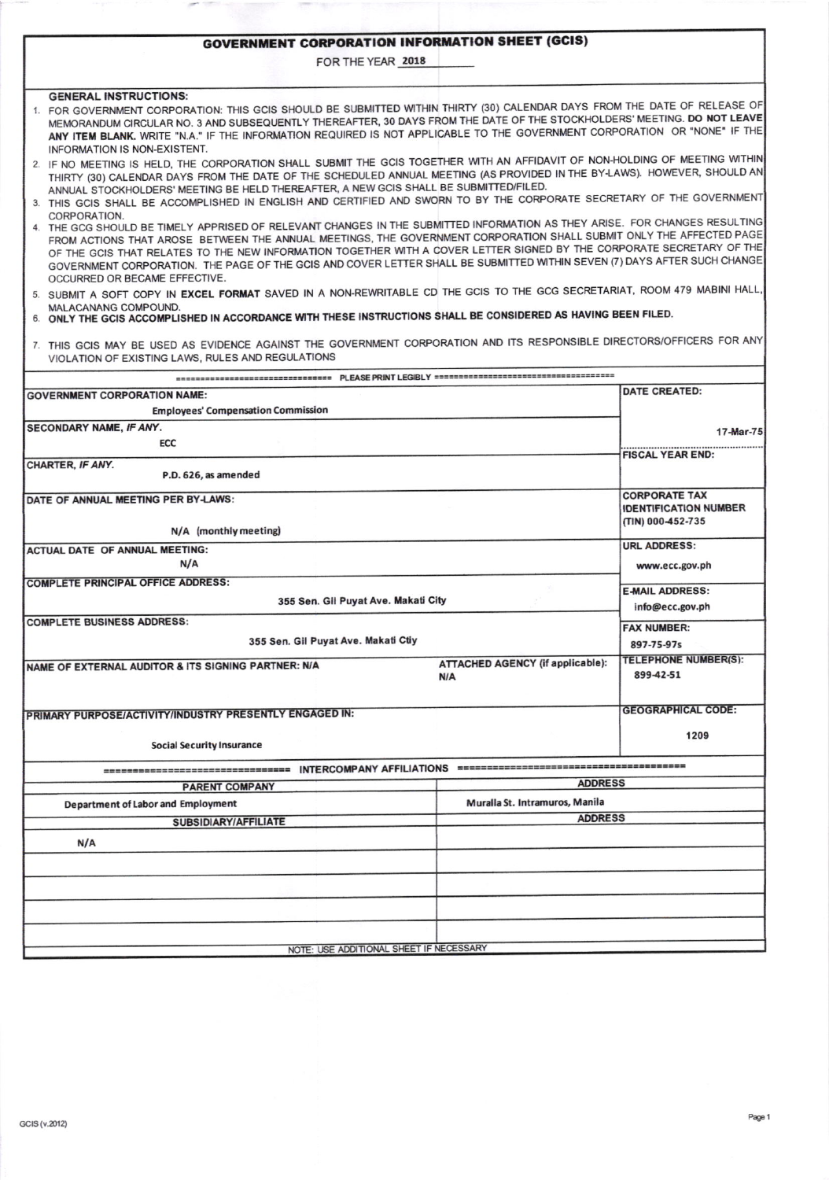## **GOVERNMENT CORPORATION INFORMATION SHEET (GCIS)**

FOR THE YEAR 2018

## **GENERAL INSTRUCTIONS:**

- FOR GOVERNMENT CORPORATION: THIS GCIS SHOULD BE SUBMITTED WTHIN THIRTY (30) CALENDAR DAYS FROM IHE DATE OF RELEASE OF MEMORANDUM CIRCULAR NO. 3 AND SUBSEQUENTLY THEREAFTER, 30 DAYS FROM THE DATE OF THE STOCKHOLDERS' MEETING. DO NOT LEAVE ANY ITEM BLANK. WRITE "N.A." IF THE INFORMATION REQUIRED IS NOT APPLICABLE TO THE GOVERNMENT CORPORATION OR "NONE" IF THE INFORMATION IS NON€XISTENT,
- ANNUAL STOCKHOLDERS' MEETING BE HELD THEREAFTER, A NEW GCIS SHALL BE SUBMITTED/FILED. 2. IF NO MEETING IS HELD, THE CORPORATION SHALL SUBMIT THE GCIS TOGETHER WITH AN AFFIDAVIT OF NON-HOLDING OF MEETING WITHIN THIRTY (30) CALENDAR DAYS FROM THE DATE OF THE SCHEDULED ANNUAL MEETING (AS PROVIDED IN THE BY-LAWS). HOWEVER, SHOULD
- 3. THIS GCIS SHALL BE ACCOMPLISHED IN ENGLISH AND CERTIFIED AND SWORN TO BY THE CORPORATE SECRETARY OF THE GOVERNMENT **CORPORATION**
- THE GCG SHOULD BE TIMELY APPRISED OF RELEVANT CHANGES IN THE SUBMITTED INFORMATION AS THEY ARISE. FOR CHANGES RESULTING<br>The company of the accepted pace ROM ACTIONS THAT AROSE BETWEEN THE ANNUAL MEETINGS, THE GOVERNMENT CORPORATION SHALL SUBMIT ONLY THE AFFECTED PAGE OF THE GCIS THAT RELATES TO THE NEW INFORMATION TOGETHER WITH A COVER LETTER SIGNED BY THE CORPORATE SECRETARY O GOVERNMENT CORPORATION. THE PAGE OF THE GCIS AND COVER LETTER SHALL BE SUBMITTED WITHIN SEVEN (7) DAYS AFTER SUCH CHA OCCURRED OR BEGAME EFFECTIVE.
- 5. SUBMIT A SOFT COPY IN EXCEL FORMAT SAVED IN A NON-REWRITABLE CD THE GCIS TO THE GCG SECRETARIAT, ROOM 479 MABINI HALL,<br>MALACANANG COMPOUND.
- MALACANANG COMPOUND.<br>6. ONLY THE GCIS ACCOMPLISHED IN ACCORDANCE WITH THESE INSTRUCTIONS SHALL BE CONSIDERED AS HAVING BEEN FILED.
- 7. THIS GCIS MAY BE USED AS EVIDENCE AGAINST THE GOVERNMENT CORPORATION AND ITS RESPONSIBLE DIRECTORS/OFFICERS FOR ANY VIOLATION OF EXISTING LAWS, RULES AND REGULATIONS

PLEASE PRINT LEGIRI V === --------------------------

|                                                         |                                         | <b>DATE CREATED:</b>         |  |  |  |  |  |
|---------------------------------------------------------|-----------------------------------------|------------------------------|--|--|--|--|--|
| <b>GOVERNMENT CORPORATION NAME:</b>                     |                                         |                              |  |  |  |  |  |
| <b>Employees' Compensation Commission</b>               |                                         |                              |  |  |  |  |  |
| SECONDARY NAME, IF ANY.                                 |                                         | $17$ -Mar-75                 |  |  |  |  |  |
| ECC                                                     |                                         |                              |  |  |  |  |  |
| CHARTER, IF ANY.                                        |                                         | <b>FISCAL YEAR END:</b>      |  |  |  |  |  |
| P.D. 626, as amended                                    |                                         |                              |  |  |  |  |  |
| DATE OF ANNUAL MEETING PER BY-LAWS:                     |                                         | <b>CORPORATE TAX</b>         |  |  |  |  |  |
|                                                         |                                         | <b>IDENTIFICATION NUMBER</b> |  |  |  |  |  |
| N/A (monthly meeting)                                   |                                         | (TIN) 000-452-735            |  |  |  |  |  |
|                                                         |                                         | <b>URL ADDRESS:</b>          |  |  |  |  |  |
| <b>ACTUAL DATE OF ANNUAL MEETING:</b>                   |                                         |                              |  |  |  |  |  |
| N/A                                                     |                                         | www.ecc.gov.ph               |  |  |  |  |  |
| <b>COMPLETE PRINCIPAL OFFICE ADDRESS:</b>               | <b>E-MAIL ADDRESS:</b>                  |                              |  |  |  |  |  |
| 355 Sen. Gil Puyat Ave. Makati City                     | info@ecc.gov.ph                         |                              |  |  |  |  |  |
| <b>COMPLETE BUSINESS ADDRESS:</b>                       |                                         |                              |  |  |  |  |  |
|                                                         | <b>FAX NUMBER:</b>                      |                              |  |  |  |  |  |
| 355 Sen. Gil Puyat Ave. Makati Ctiy                     | 897-75-97s                              |                              |  |  |  |  |  |
| NAME OF EXTERNAL AUDITOR & ITS SIGNING PARTNER: N/A     | <b>ATTACHED AGENCY (if applicable):</b> | <b>TELEPHONE NUMBER(S):</b>  |  |  |  |  |  |
|                                                         | N/A                                     | 899-42-51                    |  |  |  |  |  |
|                                                         |                                         |                              |  |  |  |  |  |
| PRIMARY PURPOSE/ACTIVITY/INDUSTRY PRESENTLY ENGAGED IN: | <b>GEOGRAPHICAL CODE:</b>               |                              |  |  |  |  |  |
|                                                         |                                         |                              |  |  |  |  |  |
| <b>Social Security Insurance</b>                        |                                         | 1209                         |  |  |  |  |  |
|                                                         |                                         |                              |  |  |  |  |  |
|                                                         |                                         |                              |  |  |  |  |  |
| <b>PARENT COMPANY</b>                                   | <b>ADDRESS</b>                          |                              |  |  |  |  |  |
| Department of Labor and Employment                      | Muralla St. Intramuros, Manila          |                              |  |  |  |  |  |
| SUBSIDIARY/AFFILIATE                                    | <b>ADDRESS</b>                          |                              |  |  |  |  |  |
| N/A                                                     |                                         |                              |  |  |  |  |  |
|                                                         |                                         |                              |  |  |  |  |  |
|                                                         |                                         |                              |  |  |  |  |  |
|                                                         |                                         |                              |  |  |  |  |  |
|                                                         |                                         |                              |  |  |  |  |  |
|                                                         |                                         |                              |  |  |  |  |  |
|                                                         |                                         |                              |  |  |  |  |  |
| NOTE: USE ADDITIONAL SHEET IF NECESSARY                 |                                         |                              |  |  |  |  |  |